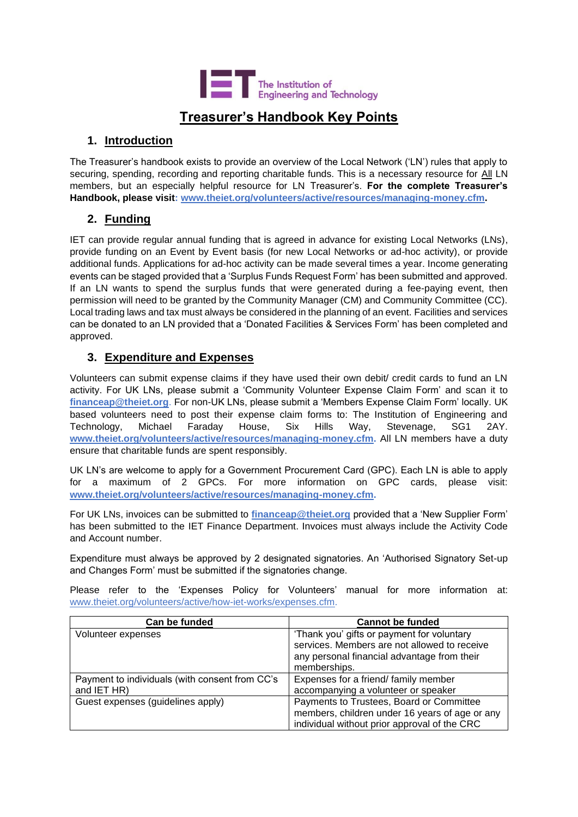

# **Treasurer's Handbook Key Points**

#### **1. Introduction**

The Treasurer's handbook exists to provide an overview of the Local Network ('LN') rules that apply to securing, spending, recording and reporting charitable funds. This is a necessary resource for All LN members, but an especially helpful resource for LN Treasurer's. **For the complete Treasurer's Handbook, please visit: [www.theiet.org/volunteers/active/resources/managing-money.cfm.](http://www.theiet.org/volunteers/active/resources/managing-money.cfm)** 

### **2. Funding**

IET can provide regular annual funding that is agreed in advance for existing Local Networks (LNs), provide funding on an Event by Event basis (for new Local Networks or ad-hoc activity), or provide additional funds. Applications for ad-hoc activity can be made several times a year. Income generating events can be staged provided that a 'Surplus Funds Request Form' has been submitted and approved. If an LN wants to spend the surplus funds that were generated during a fee-paying event, then permission will need to be granted by the Community Manager (CM) and Community Committee (CC). Local trading laws and tax must always be considered in the planning of an event. Facilities and services can be donated to an LN provided that a 'Donated Facilities & Services Form' has been completed and approved.

#### **3. Expenditure and Expenses**

Volunteers can submit expense claims if they have used their own debit/ credit cards to fund an LN activity. For UK LNs, please submit a 'Community Volunteer Expense Claim Form' and scan it to **financeap@theiet.org**. For non-UK LNs, please submit a 'Members Expense Claim Form' locally. UK based volunteers need to post their expense claim forms to: The Institution of Engineering and Technology, Michael Faraday House, Six Hills Way, Stevenage, SG1 2AY. **[www.theiet.org/volunteers/active/resources/managing-money.cfm.](http://www.theiet.org/volunteers/active/resources/managing-money.cfm)** All LN members have a duty ensure that charitable funds are spent responsibly.

UK LN's are welcome to apply for a Government Procurement Card (GPC). Each LN is able to apply for a maximum of 2 GPCs. For more information on GPC cards, please visit: **[www.theiet.org/volunteers/active/resources/managing-money.cfm.](http://www.theiet.org/volunteers/active/resources/managing-money.cfm)**

For UK LNs, invoices can be submitted to **[financeap@theiet.org](mailto:financeap@theiet.org)** provided that a 'New Supplier Form' has been submitted to the IET Finance Department. Invoices must always include the Activity Code and Account number.

Expenditure must always be approved by 2 designated signatories. An 'Authorised Signatory Set-up and Changes Form' must be submitted if the signatories change.

Please refer to the 'Expenses Policy for Volunteers' manual for more information at: [www.theiet.org/volunteers/active/how-iet-works/expenses.cfm.](http://www.theiet.org/volunteers/active/how-iet-works/expenses.cfm)

| Can be funded                                  | <b>Cannot be funded</b>                        |
|------------------------------------------------|------------------------------------------------|
| Volunteer expenses                             | 'Thank you' gifts or payment for voluntary     |
|                                                | services. Members are not allowed to receive   |
|                                                | any personal financial advantage from their    |
|                                                | memberships.                                   |
| Payment to individuals (with consent from CC's | Expenses for a friend/family member            |
| and IET HR)                                    | accompanying a volunteer or speaker            |
| Guest expenses (guidelines apply)              | Payments to Trustees, Board or Committee       |
|                                                | members, children under 16 years of age or any |
|                                                | individual without prior approval of the CRC   |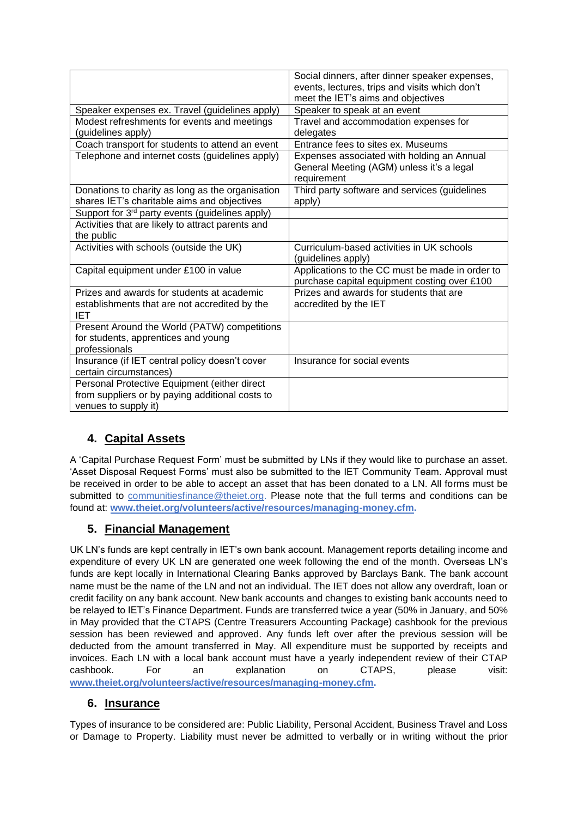|                                                             | Social dinners, after dinner speaker expenses,  |
|-------------------------------------------------------------|-------------------------------------------------|
|                                                             | events, lectures, trips and visits which don't  |
|                                                             |                                                 |
|                                                             | meet the IET's aims and objectives              |
| Speaker expenses ex. Travel (guidelines apply)              | Speaker to speak at an event                    |
| Modest refreshments for events and meetings                 | Travel and accommodation expenses for           |
| (guidelines apply)                                          | delegates                                       |
| Coach transport for students to attend an event             | Entrance fees to sites ex. Museums              |
| Telephone and internet costs (guidelines apply)             | Expenses associated with holding an Annual      |
|                                                             | General Meeting (AGM) unless it's a legal       |
|                                                             | requirement                                     |
| Donations to charity as long as the organisation            | Third party software and services (guidelines   |
| shares IET's charitable aims and objectives                 | apply)                                          |
| Support for 3 <sup>rd</sup> party events (guidelines apply) |                                                 |
| Activities that are likely to attract parents and           |                                                 |
| the public                                                  |                                                 |
| Activities with schools (outside the UK)                    | Curriculum-based activities in UK schools       |
|                                                             | (guidelines apply)                              |
| Capital equipment under £100 in value                       | Applications to the CC must be made in order to |
|                                                             | purchase capital equipment costing over £100    |
| Prizes and awards for students at academic                  | Prizes and awards for students that are         |
| establishments that are not accredited by the               | accredited by the IET                           |
| <b>IET</b>                                                  |                                                 |
| Present Around the World (PATW) competitions                |                                                 |
| for students, apprentices and young                         |                                                 |
| professionals                                               |                                                 |
| Insurance (if IET central policy doesn't cover              | Insurance for social events                     |
| certain circumstances)                                      |                                                 |
| Personal Protective Equipment (either direct                |                                                 |
| from suppliers or by paying additional costs to             |                                                 |
| venues to supply it)                                        |                                                 |

## **4. Capital Assets**

A 'Capital Purchase Request Form' must be submitted by LNs if they would like to purchase an asset. 'Asset Disposal Request Forms' must also be submitted to the IET Community Team. Approval must be received in order to be able to accept an asset that has been donated to a LN. All forms must be submitted to [communitiesfinance@theiet.org.](mailto:communitiesfinance@theiet.org) Please note that the full terms and conditions can be found at: **[www.theiet.org/volunteers/active/resources/managing-money.cfm.](http://www.theiet.org/volunteers/active/resources/managing-money.cfm)** 

#### **5. Financial Management**

UK LN's funds are kept centrally in IET's own bank account. Management reports detailing income and expenditure of every UK LN are generated one week following the end of the month. Overseas LN's funds are kept locally in International Clearing Banks approved by Barclays Bank. The bank account name must be the name of the LN and not an individual. The IET does not allow any overdraft, loan or credit facility on any bank account. New bank accounts and changes to existing bank accounts need to be relayed to IET's Finance Department. Funds are transferred twice a year (50% in January, and 50% in May provided that the CTAPS (Centre Treasurers Accounting Package) cashbook for the previous session has been reviewed and approved. Any funds left over after the previous session will be deducted from the amount transferred in May. All expenditure must be supported by receipts and invoices. Each LN with a local bank account must have a yearly independent review of their CTAP cashbook. For an explanation on CTAPS, please visit: **[www.theiet.org/volunteers/active/resources/managing-money.cfm.](http://www.theiet.org/volunteers/active/resources/managing-money.cfm)** 

#### **6. Insurance**

Types of insurance to be considered are: Public Liability, Personal Accident, Business Travel and Loss or Damage to Property. Liability must never be admitted to verbally or in writing without the prior